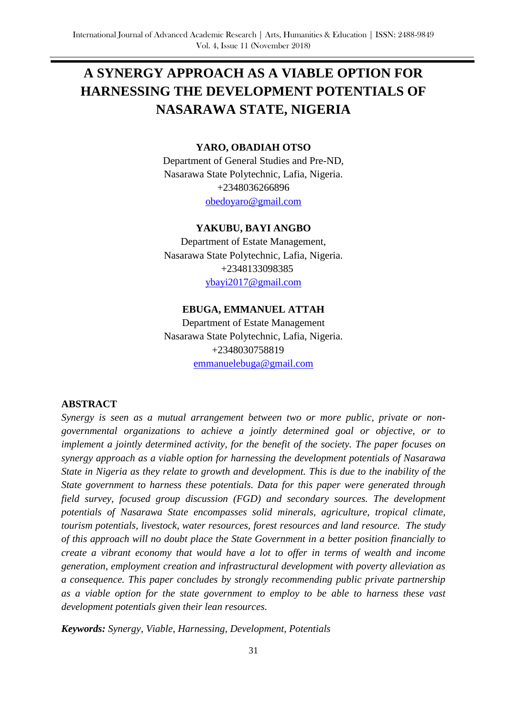# **A SYNERGY APPROACH AS A VIABLE OPTION FOR HARNESSING THE DEVELOPMENT POTENTIALS OF NASARAWA STATE, NIGERIA**

#### **YARO, OBADIAH OTSO**

Department of General Studies and Pre-ND, Nasarawa State Polytechnic, Lafia, Nigeria. +2348036266896 [obedoyaro@gmail.com](mailto:obedoyaro@gmail.com)

#### **YAKUBU, BAYI ANGBO**

Department of Estate Management, Nasarawa State Polytechnic, Lafia, Nigeria. +2348133098385 [ybayi2017@gmail.com](mailto:ybayi2017@gmail.com)

#### **EBUGA, EMMANUEL ATTAH**

Department of Estate Management Nasarawa State Polytechnic, Lafia, Nigeria. +2348030758819 [emmanuelebuga@gmail.com](mailto:emmanuelebuga@gmail.com)

#### **ABSTRACT**

*Synergy is seen as a mutual arrangement between two or more public, private or nongovernmental organizations to achieve a jointly determined goal or objective, or to implement a jointly determined activity, for the benefit of the society. The paper focuses on synergy approach as a viable option for harnessing the development potentials of Nasarawa State in Nigeria as they relate to growth and development. This is due to the inability of the State government to harness these potentials. Data for this paper were generated through field survey, focused group discussion (FGD) and secondary sources. The development potentials of Nasarawa State encompasses solid minerals, agriculture, tropical climate, tourism potentials, livestock, water resources, forest resources and land resource. The study of this approach will no doubt place the State Government in a better position financially to create a vibrant economy that would have a lot to offer in terms of wealth and income generation, employment creation and infrastructural development with poverty alleviation as a consequence. This paper concludes by strongly recommending public private partnership as a viable option for the state government to employ to be able to harness these vast development potentials given their lean resources.* 

*Keywords: Synergy, Viable, Harnessing, Development, Potentials*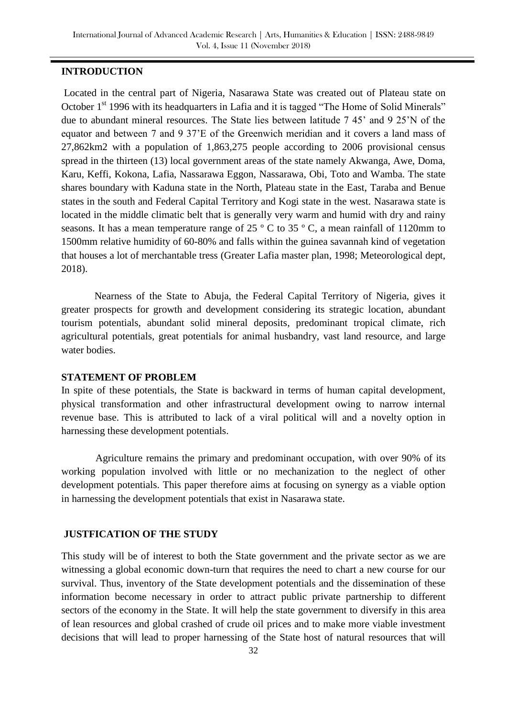## **INTRODUCTION**

Located in the central part of Nigeria, Nasarawa State was created out of Plateau state on October 1<sup>st</sup> 1996 with its headquarters in Lafia and it is tagged "The Home of Solid Minerals" due to abundant mineral resources. The State lies between latitude 7 45' and 9 25'N of the equator and between 7 and 9 37'E of the Greenwich meridian and it covers a land mass of 27,862km2 with a population of 1,863,275 people according to 2006 provisional census spread in the thirteen (13) local government areas of the state namely Akwanga, Awe, Doma, Karu, Keffi, Kokona, Lafia, Nassarawa Eggon, Nassarawa, Obi, Toto and Wamba. The state shares boundary with Kaduna state in the North, Plateau state in the East, Taraba and Benue states in the south and Federal Capital Territory and Kogi state in the west. Nasarawa state is located in the middle climatic belt that is generally very warm and humid with dry and rainy seasons. It has a mean temperature range of 25 ° C to 35 ° C, a mean rainfall of 1120mm to 1500mm relative humidity of 60-80% and falls within the guinea savannah kind of vegetation that houses a lot of merchantable tress (Greater Lafia master plan, 1998; Meteorological dept, 2018).

 Nearness of the State to Abuja, the Federal Capital Territory of Nigeria, gives it greater prospects for growth and development considering its strategic location, abundant tourism potentials, abundant solid mineral deposits, predominant tropical climate, rich agricultural potentials, great potentials for animal husbandry, vast land resource, and large water bodies.

#### **STATEMENT OF PROBLEM**

In spite of these potentials, the State is backward in terms of human capital development, physical transformation and other infrastructural development owing to narrow internal revenue base. This is attributed to lack of a viral political will and a novelty option in harnessing these development potentials.

 Agriculture remains the primary and predominant occupation, with over 90% of its working population involved with little or no mechanization to the neglect of other development potentials. This paper therefore aims at focusing on synergy as a viable option in harnessing the development potentials that exist in Nasarawa state.

## **JUSTFICATION OF THE STUDY**

This study will be of interest to both the State government and the private sector as we are witnessing a global economic down-turn that requires the need to chart a new course for our survival. Thus, inventory of the State development potentials and the dissemination of these information become necessary in order to attract public private partnership to different sectors of the economy in the State. It will help the state government to diversify in this area of lean resources and global crashed of crude oil prices and to make more viable investment decisions that will lead to proper harnessing of the State host of natural resources that will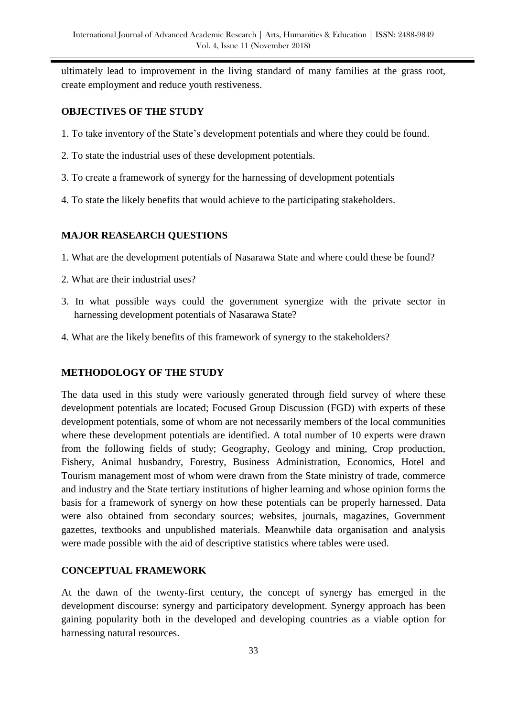ultimately lead to improvement in the living standard of many families at the grass root, create employment and reduce youth restiveness.

### **OBJECTIVES OF THE STUDY**

- 1. To take inventory of the State's development potentials and where they could be found.
- 2. To state the industrial uses of these development potentials.
- 3. To create a framework of synergy for the harnessing of development potentials
- 4. To state the likely benefits that would achieve to the participating stakeholders.

# **MAJOR REASEARCH QUESTIONS**

- 1. What are the development potentials of Nasarawa State and where could these be found?
- 2. What are their industrial uses?
- 3. In what possible ways could the government synergize with the private sector in harnessing development potentials of Nasarawa State?
- 4. What are the likely benefits of this framework of synergy to the stakeholders?

## **METHODOLOGY OF THE STUDY**

The data used in this study were variously generated through field survey of where these development potentials are located; Focused Group Discussion (FGD) with experts of these development potentials, some of whom are not necessarily members of the local communities where these development potentials are identified. A total number of 10 experts were drawn from the following fields of study; Geography, Geology and mining, Crop production, Fishery, Animal husbandry, Forestry, Business Administration, Economics, Hotel and Tourism management most of whom were drawn from the State ministry of trade, commerce and industry and the State tertiary institutions of higher learning and whose opinion forms the basis for a framework of synergy on how these potentials can be properly harnessed. Data were also obtained from secondary sources; websites, journals, magazines, Government gazettes, textbooks and unpublished materials. Meanwhile data organisation and analysis were made possible with the aid of descriptive statistics where tables were used.

## **CONCEPTUAL FRAMEWORK**

At the dawn of the twenty-first century, the concept of synergy has emerged in the development discourse: synergy and participatory development. Synergy approach has been gaining popularity both in the developed and developing countries as a viable option for harnessing natural resources.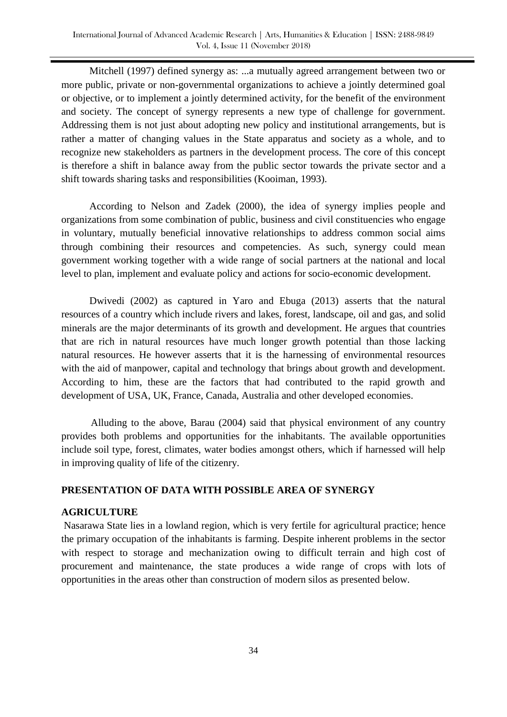Mitchell (1997) defined synergy as: ...a mutually agreed arrangement between two or more public, private or non-governmental organizations to achieve a jointly determined goal or objective, or to implement a jointly determined activity, for the benefit of the environment and society. The concept of synergy represents a new type of challenge for government. Addressing them is not just about adopting new policy and institutional arrangements, but is rather a matter of changing values in the State apparatus and society as a whole, and to recognize new stakeholders as partners in the development process. The core of this concept is therefore a shift in balance away from the public sector towards the private sector and a shift towards sharing tasks and responsibilities (Kooiman, 1993).

 According to Nelson and Zadek (2000), the idea of synergy implies people and organizations from some combination of public, business and civil constituencies who engage in voluntary, mutually beneficial innovative relationships to address common social aims through combining their resources and competencies. As such, synergy could mean government working together with a wide range of social partners at the national and local level to plan, implement and evaluate policy and actions for socio-economic development.

 Dwivedi (2002) as captured in Yaro and Ebuga (2013) asserts that the natural resources of a country which include rivers and lakes, forest, landscape, oil and gas, and solid minerals are the major determinants of its growth and development. He argues that countries that are rich in natural resources have much longer growth potential than those lacking natural resources. He however asserts that it is the harnessing of environmental resources with the aid of manpower, capital and technology that brings about growth and development. According to him, these are the factors that had contributed to the rapid growth and development of USA, UK, France, Canada, Australia and other developed economies.

 Alluding to the above, Barau (2004) said that physical environment of any country provides both problems and opportunities for the inhabitants. The available opportunities include soil type, forest, climates, water bodies amongst others, which if harnessed will help in improving quality of life of the citizenry.

## **PRESENTATION OF DATA WITH POSSIBLE AREA OF SYNERGY**

#### **AGRICULTURE**

Nasarawa State lies in a lowland region, which is very fertile for agricultural practice; hence the primary occupation of the inhabitants is farming. Despite inherent problems in the sector with respect to storage and mechanization owing to difficult terrain and high cost of procurement and maintenance, the state produces a wide range of crops with lots of opportunities in the areas other than construction of modern silos as presented below.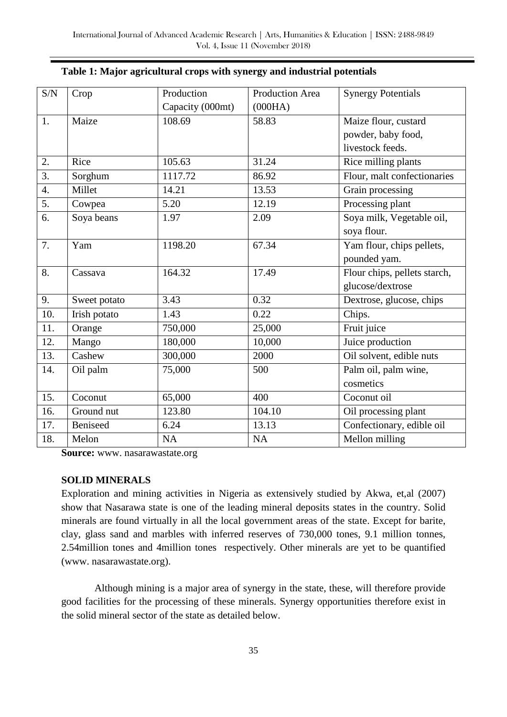| $\ensuremath{\mathrm{S/N}}$ | Crop         | Production       | <b>Production Area</b> | <b>Synergy Potentials</b>    |
|-----------------------------|--------------|------------------|------------------------|------------------------------|
|                             |              | Capacity (000mt) | (000HA)                |                              |
| 1.                          | Maize        | 108.69           | 58.83                  | Maize flour, custard         |
|                             |              |                  |                        | powder, baby food,           |
|                             |              |                  |                        | livestock feeds.             |
| 2.                          | Rice         | 105.63           | 31.24                  | Rice milling plants          |
| $\overline{3}$ .            | Sorghum      | 1117.72          | 86.92                  | Flour, malt confectionaries  |
| $\overline{4}$ .            | Millet       | 14.21            | 13.53                  | Grain processing             |
| $\overline{5}$ .            | Cowpea       | 5.20             | 12.19                  | Processing plant             |
| 6.                          | Soya beans   | 1.97             | 2.09                   | Soya milk, Vegetable oil,    |
|                             |              |                  |                        | soya flour.                  |
| 7.                          | Yam          | 1198.20          | 67.34                  | Yam flour, chips pellets,    |
|                             |              |                  |                        | pounded yam.                 |
| 8.                          | Cassava      | 164.32           | 17.49                  | Flour chips, pellets starch, |
|                             |              |                  |                        | glucose/dextrose             |
| 9.                          | Sweet potato | 3.43             | 0.32                   | Dextrose, glucose, chips     |
| 10.                         | Irish potato | 1.43             | 0.22                   | Chips.                       |
| 11.                         | Orange       | 750,000          | 25,000                 | Fruit juice                  |
| 12.                         | Mango        | 180,000          | 10,000                 | Juice production             |
| 13.                         | Cashew       | 300,000          | 2000                   | Oil solvent, edible nuts     |
| 14.                         | Oil palm     | 75,000           | 500                    | Palm oil, palm wine,         |
|                             |              |                  |                        | cosmetics                    |
| 15.                         | Coconut      | 65,000           | 400                    | Coconut oil                  |
| 16.                         | Ground nut   | 123.80           | 104.10                 | Oil processing plant         |
| 17.                         | Beniseed     | 6.24             | 13.13                  | Confectionary, edible oil    |
| 18.                         | Melon        | <b>NA</b>        | NA                     | Mellon milling               |

|  |  | Table 1: Major agricultural crops with synergy and industrial potentials |  |
|--|--|--------------------------------------------------------------------------|--|
|  |  |                                                                          |  |

**Source:** www. nasarawastate.org

#### **SOLID MINERALS**

Exploration and mining activities in Nigeria as extensively studied by Akwa, et,al (2007) show that Nasarawa state is one of the leading mineral deposits states in the country. Solid minerals are found virtually in all the local government areas of the state. Except for barite, clay, glass sand and marbles with inferred reserves of 730,000 tones, 9.1 million tonnes, 2.54million tones and 4million tones respectively. Other minerals are yet to be quantified (www. nasarawastate.org).

 Although mining is a major area of synergy in the state, these, will therefore provide good facilities for the processing of these minerals. Synergy opportunities therefore exist in the solid mineral sector of the state as detailed below.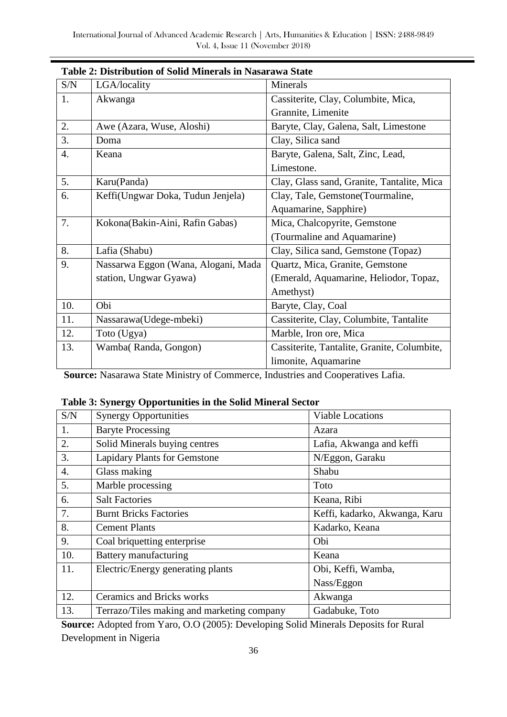| S/N              | LGA/locality                        | Minerals                                    |
|------------------|-------------------------------------|---------------------------------------------|
| 1.               | Akwanga                             | Cassiterite, Clay, Columbite, Mica,         |
|                  |                                     | Grannite, Limenite                          |
| 2.               | Awe (Azara, Wuse, Aloshi)           | Baryte, Clay, Galena, Salt, Limestone       |
| 3.               | Doma                                | Clay, Silica sand                           |
| $\overline{4}$ . | Keana                               | Baryte, Galena, Salt, Zinc, Lead,           |
|                  |                                     | Limestone.                                  |
| 5.               | Karu(Panda)                         | Clay, Glass sand, Granite, Tantalite, Mica  |
| 6.               | Keffi(Ungwar Doka, Tudun Jenjela)   | Clay, Tale, Gemstone (Tourmaline,           |
|                  |                                     | Aquamarine, Sapphire)                       |
| 7.               | Kokona(Bakin-Aini, Rafin Gabas)     | Mica, Chalcopyrite, Gemstone                |
|                  |                                     | (Tourmaline and Aquamarine)                 |
| 8.               | Lafia (Shabu)                       | Clay, Silica sand, Gemstone (Topaz)         |
| 9.               | Nassarwa Eggon (Wana, Alogani, Mada | Quartz, Mica, Granite, Gemstone             |
|                  | station, Ungwar Gyawa)              | (Emerald, Aquamarine, Heliodor, Topaz,      |
|                  |                                     | Amethyst)                                   |
| 10.              | Obi                                 | Baryte, Clay, Coal                          |
| 11.              | Nassarawa(Udege-mbeki)              | Cassiterite, Clay, Columbite, Tantalite     |
| 12.              | Toto (Ugya)                         | Marble, Iron ore, Mica                      |
| 13.              | Wamba(Randa, Gongon)                | Cassiterite, Tantalite, Granite, Columbite, |
|                  |                                     | limonite, Aquamarine                        |

#### **Table 2: Distribution of Solid Minerals in Nasarawa State**

**Source:** Nasarawa State Ministry of Commerce, Industries and Cooperatives Lafia.

#### **Table 3: Synergy Opportunities in the Solid Mineral Sector**

| S/N              | <b>Synergy Opportunities</b>               | <b>Viable Locations</b>       |
|------------------|--------------------------------------------|-------------------------------|
| 1.               | <b>Baryte Processing</b>                   | Azara                         |
| 2.               | Solid Minerals buying centres              | Lafia, Akwanga and keffi      |
| 3.               | <b>Lapidary Plants for Gemstone</b>        | N/Eggon, Garaku               |
| $\overline{4}$ . | Glass making                               | Shabu                         |
| 5.               | Marble processing                          | Toto                          |
| 6.               | <b>Salt Factories</b>                      | Keana, Ribi                   |
| 7.               | <b>Burnt Bricks Factories</b>              | Keffi, kadarko, Akwanga, Karu |
| 8.               | <b>Cement Plants</b>                       | Kadarko, Keana                |
| 9.               | Coal briquetting enterprise                | Obi                           |
| 10.              | Battery manufacturing                      | Keana                         |
| 11.              | Electric/Energy generating plants          | Obi, Keffi, Wamba,            |
|                  |                                            | Nass/Eggon                    |
| 12.              | <b>Ceramics and Bricks works</b>           | Akwanga                       |
| 13.              | Terrazo/Tiles making and marketing company | Gadabuke, Toto                |

**Source:** Adopted from Yaro, O.O (2005): Developing Solid Minerals Deposits for Rural Development in Nigeria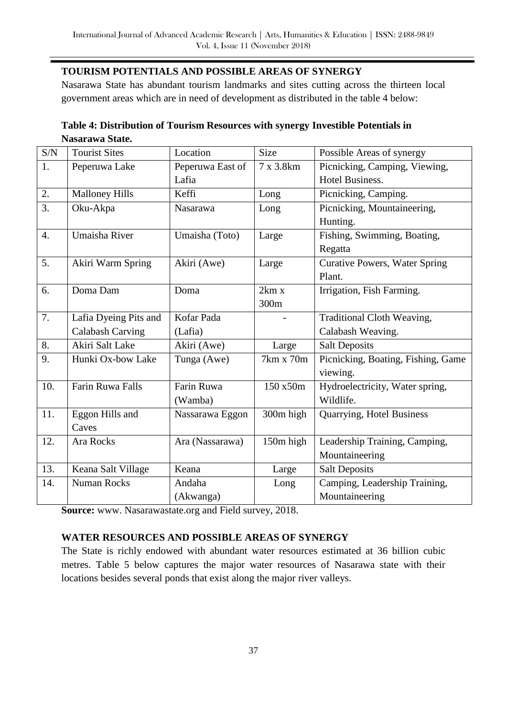# **TOURISM POTENTIALS AND POSSIBLE AREAS OF SYNERGY**

Nasarawa State has abundant tourism landmarks and sites cutting across the thirteen local government areas which are in need of development as distributed in the table 4 below:

| Table 4: Distribution of Tourism Resources with synergy Investible Potentials in |  |
|----------------------------------------------------------------------------------|--|
| Nasarawa State.                                                                  |  |

| S/N              | <b>Tourist Sites</b>    | Location         | <b>Size</b> | Possible Areas of synergy            |
|------------------|-------------------------|------------------|-------------|--------------------------------------|
| 1.               | Peperuwa Lake           | Peperuwa East of | 7 x 3.8km   | Picnicking, Camping, Viewing,        |
|                  |                         | Lafia            |             | Hotel Business.                      |
| 2.               | <b>Malloney Hills</b>   | Keffi            | Long        | Picnicking, Camping.                 |
| 3.               | Oku-Akpa                | Nasarawa         | Long        | Picnicking, Mountaineering,          |
|                  |                         |                  |             | Hunting.                             |
| $\overline{4}$ . | Umaisha River           | Umaisha (Toto)   | Large       | Fishing, Swimming, Boating,          |
|                  |                         |                  |             | Regatta                              |
| 5.               | Akiri Warm Spring       | Akiri (Awe)      | Large       | <b>Curative Powers, Water Spring</b> |
|                  |                         |                  |             | Plant.                               |
| 6.               | Doma Dam                | Doma             | 2km x       | Irrigation, Fish Farming.            |
|                  |                         |                  | 300m        |                                      |
| 7.               | Lafia Dyeing Pits and   | Kofar Pada       |             | Traditional Cloth Weaving,           |
|                  | <b>Calabash Carving</b> | (Lafia)          |             | Calabash Weaving.                    |
| 8.               | Akiri Salt Lake         | Akiri (Awe)      | Large       | <b>Salt Deposits</b>                 |
| 9.               | Hunki Ox-bow Lake       | Tunga (Awe)      | 7km x 70m   | Picnicking, Boating, Fishing, Game   |
|                  |                         |                  |             | viewing.                             |
| 10.              | Farin Ruwa Falls        | Farin Ruwa       | 150 x50m    | Hydroelectricity, Water spring,      |
|                  |                         | (Wamba)          |             | Wildlife.                            |
| 11.              | Eggon Hills and         | Nassarawa Eggon  | 300m high   | Quarrying, Hotel Business            |
|                  | Caves                   |                  |             |                                      |
| 12.              | Ara Rocks               | Ara (Nassarawa)  | 150m high   | Leadership Training, Camping,        |
|                  |                         |                  |             | Mountaineering                       |
| 13.              | Keana Salt Village      | Keana            | Large       | <b>Salt Deposits</b>                 |
| 14.              | <b>Numan Rocks</b>      | Andaha           | Long        | Camping, Leadership Training,        |
|                  |                         | (Akwanga)        |             | Mountaineering                       |

**Source:** www. Nasarawastate.org and Field survey, 2018.

# **WATER RESOURCES AND POSSIBLE AREAS OF SYNERGY**

The State is richly endowed with abundant water resources estimated at 36 billion cubic metres. Table 5 below captures the major water resources of Nasarawa state with their locations besides several ponds that exist along the major river valleys.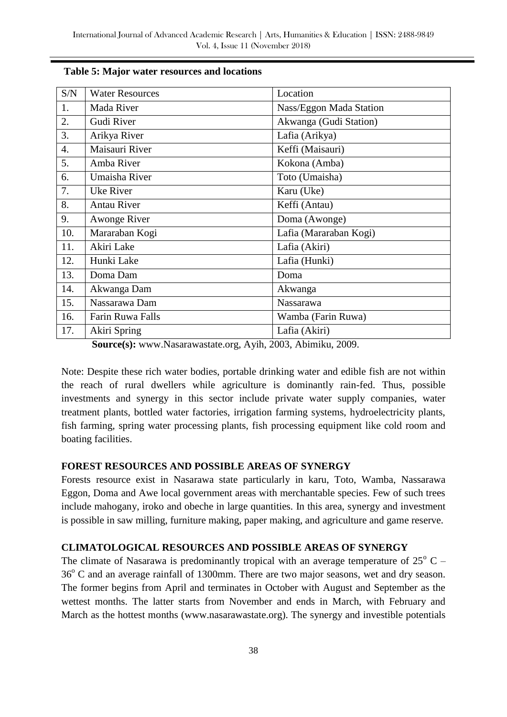| S/N | <b>Water Resources</b> | Location                |
|-----|------------------------|-------------------------|
| 1.  | Mada River             | Nass/Eggon Mada Station |
| 2.  | Gudi River             | Akwanga (Gudi Station)  |
| 3.  | Arikya River           | Lafia (Arikya)          |
| 4.  | Maisauri River         | Keffi (Maisauri)        |
| 5.  | Amba River             | Kokona (Amba)           |
| 6.  | Umaisha River          | Toto (Umaisha)          |
| 7.  | Uke River              | Karu (Uke)              |
| 8.  | <b>Antau River</b>     | Keffi (Antau)           |
| 9.  | <b>Awonge River</b>    | Doma (Awonge)           |
| 10. | Mararaban Kogi         | Lafia (Mararaban Kogi)  |
| 11. | Akiri Lake             | Lafia (Akiri)           |
| 12. | Hunki Lake             | Lafia (Hunki)           |
| 13. | Doma Dam               | Doma                    |
| 14. | Akwanga Dam            | Akwanga                 |
| 15. | Nassarawa Dam          | <b>Nassarawa</b>        |
| 16. | Farin Ruwa Falls       | Wamba (Farin Ruwa)      |
| 17. | Akiri Spring           | Lafia (Akiri)           |

#### **Table 5: Major water resources and locations**

**Source(s):** www.Nasarawastate.org, Ayih, 2003, Abimiku, 2009.

Note: Despite these rich water bodies, portable drinking water and edible fish are not within the reach of rural dwellers while agriculture is dominantly rain-fed. Thus, possible investments and synergy in this sector include private water supply companies, water treatment plants, bottled water factories, irrigation farming systems, hydroelectricity plants, fish farming, spring water processing plants, fish processing equipment like cold room and boating facilities.

#### **FOREST RESOURCES AND POSSIBLE AREAS OF SYNERGY**

Forests resource exist in Nasarawa state particularly in karu, Toto, Wamba, Nassarawa Eggon, Doma and Awe local government areas with merchantable species. Few of such trees include mahogany, iroko and obeche in large quantities. In this area, synergy and investment is possible in saw milling, furniture making, paper making, and agriculture and game reserve.

## **CLIMATOLOGICAL RESOURCES AND POSSIBLE AREAS OF SYNERGY**

The climate of Nasarawa is predominantly tropical with an average temperature of  $25^{\circ}$  C –  $36^{\circ}$  C and an average rainfall of 1300mm. There are two major seasons, wet and dry season. The former begins from April and terminates in October with August and September as the wettest months. The latter starts from November and ends in March, with February and March as the hottest months (www.nasarawastate.org). The synergy and investible potentials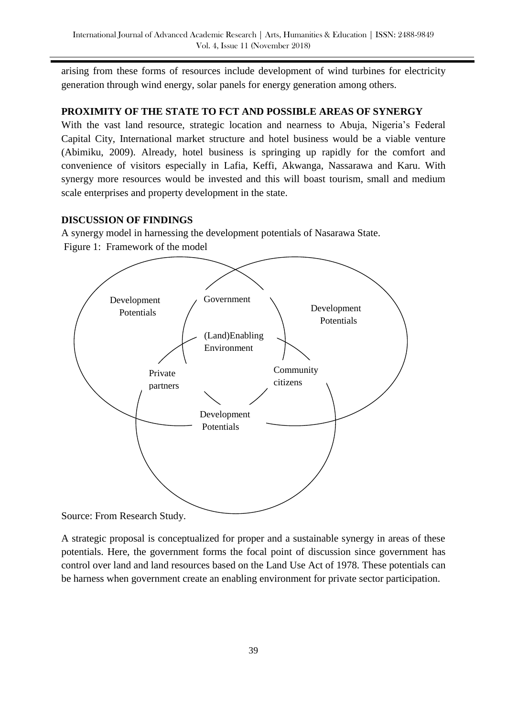arising from these forms of resources include development of wind turbines for electricity generation through wind energy, solar panels for energy generation among others.

## **PROXIMITY OF THE STATE TO FCT AND POSSIBLE AREAS OF SYNERGY**

With the vast land resource, strategic location and nearness to Abuja, Nigeria's Federal Capital City, International market structure and hotel business would be a viable venture (Abimiku, 2009). Already, hotel business is springing up rapidly for the comfort and convenience of visitors especially in Lafia, Keffi, Akwanga, Nassarawa and Karu. With synergy more resources would be invested and this will boast tourism, small and medium scale enterprises and property development in the state.

## **DISCUSSION OF FINDINGS**

A synergy model in harnessing the development potentials of Nasarawa State. Figure 1: Framework of the model



Source: From Research Study.

A strategic proposal is conceptualized for proper and a sustainable synergy in areas of these potentials. Here, the government forms the focal point of discussion since government has control over land and land resources based on the Land Use Act of 1978. These potentials can be harness when government create an enabling environment for private sector participation.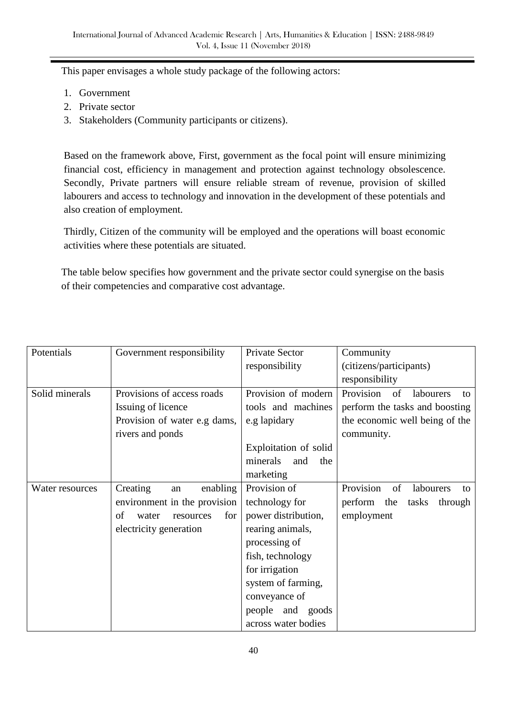This paper envisages a whole study package of the following actors:

- 1. Government
- 2. Private sector
- 3. Stakeholders (Community participants or citizens).

Based on the framework above, First, government as the focal point will ensure minimizing financial cost, efficiency in management and protection against technology obsolescence. Secondly, Private partners will ensure reliable stream of revenue, provision of skilled labourers and access to technology and innovation in the development of these potentials and also creation of employment.

Thirdly, Citizen of the community will be employed and the operations will boast economic activities where these potentials are situated.

The table below specifies how government and the private sector could synergise on the basis of their competencies and comparative cost advantage.

| Potentials      | Government responsibility       | Private Sector         | Community                          |
|-----------------|---------------------------------|------------------------|------------------------------------|
|                 |                                 | responsibility         | (citizens/participants)            |
|                 |                                 |                        | responsibility                     |
| Solid minerals  | Provisions of access roads      | Provision of modern    | Provision<br>of<br>labourers<br>tΩ |
|                 | Issuing of licence              | tools and machines     | perform the tasks and boosting     |
|                 | Provision of water e.g dams,    | e.g lapidary           | the economic well being of the     |
|                 | rivers and ponds                |                        | community.                         |
|                 |                                 | Exploitation of solid  |                                    |
|                 |                                 | minerals<br>and<br>the |                                    |
|                 |                                 | marketing              |                                    |
| Water resources | Creating<br>enabling<br>an      | Provision of           | Provision<br>labourers<br>of<br>to |
|                 | environment in the provision    | technology for         | perform the<br>tasks<br>through    |
|                 | of<br>water<br>for<br>resources | power distribution,    | employment                         |
|                 | electricity generation          | rearing animals,       |                                    |
|                 |                                 | processing of          |                                    |
|                 |                                 | fish, technology       |                                    |
|                 |                                 | for irrigation         |                                    |
|                 |                                 | system of farming,     |                                    |
|                 |                                 | conveyance of          |                                    |
|                 |                                 | people and goods       |                                    |
|                 |                                 | across water bodies    |                                    |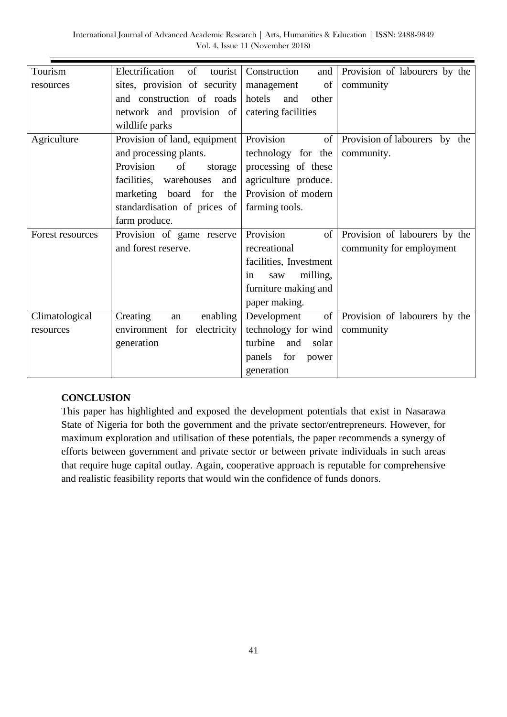International Journal of Advanced Academic Research | Arts, Humanities & Education | ISSN: 2488-9849 Vol. 4, Issue 11 (November 2018)

| Tourism          | Electrification<br>of<br>tourist | Construction<br>and      | Provision of labourers by the |
|------------------|----------------------------------|--------------------------|-------------------------------|
| resources        | sites, provision of security     | of<br>management         | community                     |
|                  | and construction of roads        | hotels<br>and<br>other   |                               |
|                  | network and provision of         | catering facilities      |                               |
|                  | wildlife parks                   |                          |                               |
| Agriculture      | Provision of land, equipment     | Provision<br>of          | Provision of labourers by the |
|                  | and processing plants.           | technology for the       | community.                    |
|                  | Provision<br>of<br>storage       | processing of these      |                               |
|                  | facilities, warehouses<br>and    | agriculture produce.     |                               |
|                  | marketing board for<br>the       | Provision of modern      |                               |
|                  | standardisation of prices of     | farming tools.           |                               |
|                  | farm produce.                    |                          |                               |
| Forest resources | Provision of game reserve        | Provision<br>$\sigma$    | Provision of labourers by the |
|                  | and forest reserve.              | recreational             | community for employment      |
|                  |                                  | facilities, Investment   |                               |
|                  |                                  | milling,<br>saw<br>in    |                               |
|                  |                                  | furniture making and     |                               |
|                  |                                  | paper making.            |                               |
| Climatological   | Creating<br>enabling<br>an       | $\circ$ f<br>Development | Provision of labourers by the |
| resources        | environment for electricity      | technology for wind      | community                     |
|                  | generation                       | turbine<br>and<br>solar  |                               |
|                  |                                  | for<br>panels<br>power   |                               |
|                  |                                  | generation               |                               |

## **CONCLUSION**

This paper has highlighted and exposed the development potentials that exist in Nasarawa State of Nigeria for both the government and the private sector/entrepreneurs. However, for maximum exploration and utilisation of these potentials, the paper recommends a synergy of efforts between government and private sector or between private individuals in such areas that require huge capital outlay. Again, cooperative approach is reputable for comprehensive and realistic feasibility reports that would win the confidence of funds donors.